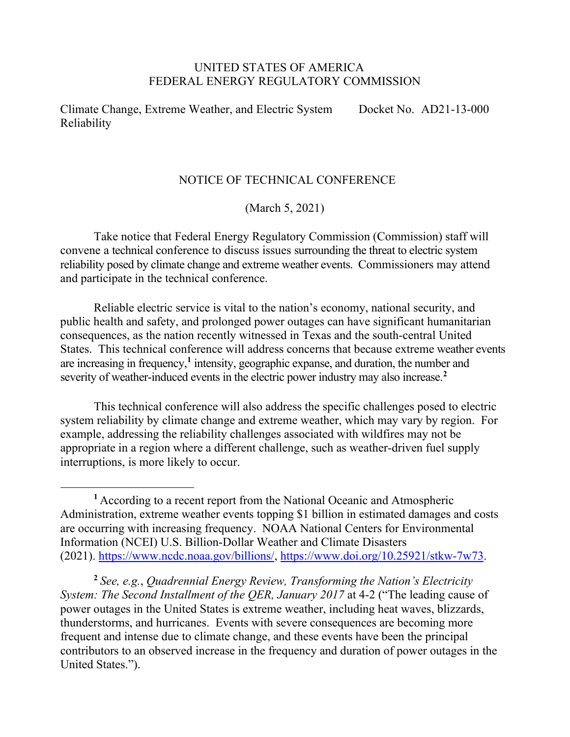## UNITED STATES OF AMERICA FEDERAL ENERGY REGULATORY COMMISSION

Climate Change, Extreme Weather, and Electric System Reliability Docket No. AD21-13-000

## NOTICE OF TECHNICAL CONFERENCE

(March 5, 2021)

Take notice that Federal Energy Regulatory Commission (Commission) staff will convene a technical conference to discuss issues surrounding the threat to electric system reliability posed by climate change and extreme weather events. Commissioners may attend and participate in the technical conference.

Reliable electric service is vital to the nation's economy, national security, and public health and safety, and prolonged power outages can have significant humanitarian consequences, as the nation recently witnessed in Texas and the south-central United States. This technical conference will address concerns that because extreme weather events are increasing in frequency,**[1](#page-0-0)** intensity, geographic expanse, and duration, the number and severity of weather-induced events in the electric power industry may also increase. **[2](#page-0-1)**

This technical conference will also address the specific challenges posed to electric system reliability by climate change and extreme weather, which may vary by region. For example, addressing the reliability challenges associated with wildfires may not be appropriate in a region where a different challenge, such as weather-driven fuel supply interruptions, is more likely to occur.

<span id="page-0-1"></span>**<sup>2</sup>** *See, e.g.*, *Quadrennial Energy Review, Transforming the Nation's Electricity System: The Second Installment of the QER, January 2017* at 4-2 ("The leading cause of power outages in the United States is extreme weather, including heat waves, blizzards, thunderstorms, and hurricanes. Events with severe consequences are becoming more frequent and intense due to climate change, and these events have been the principal contributors to an observed increase in the frequency and duration of power outages in the United States.").

<span id="page-0-0"></span>**<sup>1</sup>** According to a recent report from the National Oceanic and Atmospheric Administration, extreme weather events topping \$1 billion in estimated damages and costs are occurring with increasing frequency. NOAA National Centers for Environmental Information (NCEI) U.S. Billion-Dollar Weather and Climate Disasters (2021). [https://www.ncdc.noaa.gov/billions/,](https://www.ncdc.noaa.gov/billions/) [https://www.doi.org/10.25921/stkw-7w73.](https://www.doi.org/10.25921/stkw-7w73)